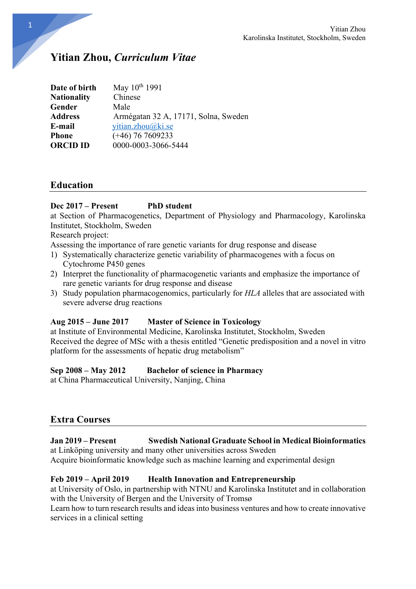# **Yitian Zhou,** *Curriculum Vitae*

| May 10th 1991                        |
|--------------------------------------|
| Chinese                              |
| Male                                 |
| Armégatan 32 A, 17171, Solna, Sweden |
| yitian.zhou@ki.se                    |
| $(+46)$ 76 7609233                   |
| 0000-0003-3066-5444                  |
|                                      |

# **Education**

## **Dec 2017 – Present PhD student**

at Section of Pharmacogenetics, Department of Physiology and Pharmacology, Karolinska Institutet, Stockholm, Sweden

Research project:

Assessing the importance of rare genetic variants for drug response and disease

- 1) Systematically characterize genetic variability of pharmacogenes with a focus on Cytochrome P450 genes
- 2) Interpret the functionality of pharmacogenetic variants and emphasize the importance of rare genetic variants for drug response and disease
- 3) Study population pharmacogenomics, particularly for *HLA* alleles that are associated with severe adverse drug reactions

## **Aug 2015 – June 2017 Master of Science in Toxicology**

at Institute of Environmental Medicine, Karolinska Institutet, Stockholm, Sweden Received the degree of MSc with a thesis entitled "Genetic predisposition and a novel in vitro platform for the assessments of hepatic drug metabolism"

## **Sep 2008 – May 2012 Bachelor of science in Pharmacy**

at China Pharmaceutical University, Nanjing, China

# **Extra Courses**

# **Jan 2019 – Present Swedish National Graduate School in Medical Bioinformatics**

at Linköping university and many other universities across Sweden Acquire bioinformatic knowledge such as machine learning and experimental design

## **Feb 2019 – April 2019 Health Innovation and Entrepreneurship**

at University of Oslo, in partnership with NTNU and Karolinska Institutet and in collaboration with the University of Bergen and the University of Tromsø

Learn how to turn research results and ideas into business ventures and how to create innovative services in a clinical setting

1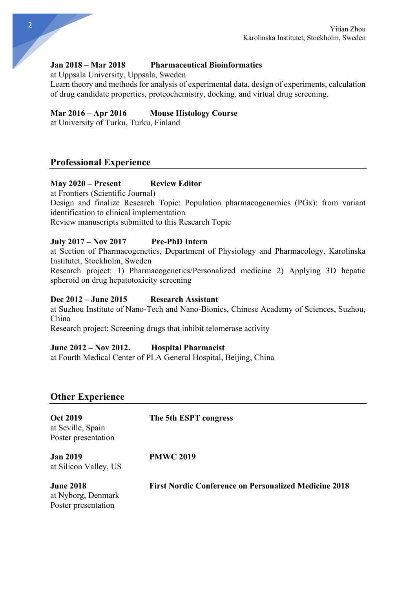### **Jan 2018 – Mar 2018 Pharmaceutical Bioinformatics**

at Uppsala University, Uppsala, Sweden

Learn theory and methods for analysis of experimental data, design of experiments, calculation of drug candidate properties, proteochemistry, docking, and virtual drug screening.

### **Mar 2016 – Apr 2016 Mouse Histology Course**

at University of Turku, Turku, Finland

## **Professional Experience**

#### **May 2020 – Present Review Editor**

at Frontiers (Scientific Journal) Design and finalize Research Topic: Population pharmacogenomics (PGx): from variant identification to clinical implementation Review manuscripts submitted to this Research Topic

### **July 2017 – Nov 2017 Pre-PhD Intern**

at Section of Pharmacogenetics, Department of Physiology and Pharmacology, Karolinska Institutet, Stockholm, Sweden Research project: 1) Pharmacogenetics/Personalized medicine 2) Applying 3D hepatic spheroid on drug hepatotoxicity screening

#### **Dec 2012 – June 2015 Research Assistant**

at Suzhou Institute of Nano-Tech and Nano-Bionics, Chinese Academy of Sciences, Suzhou, China

Research project: Screening drugs that inhibit telomerase activity

#### **June 2012 – Nov 2012. Hospital Pharmacist**

at Fourth Medical Center of PLA General Hospital, Beijing, China

## **Other Experience**

| <b>Oct 2019</b><br>at Seville, Spain<br>Poster presentation   | The 5th ESPT congress                                        |
|---------------------------------------------------------------|--------------------------------------------------------------|
| <b>Jan 2019</b><br>at Silicon Valley, US                      | <b>PMWC 2019</b>                                             |
| <b>June 2018</b><br>at Nyborg, Denmark<br>Poster presentation | <b>First Nordic Conference on Personalized Medicine 2018</b> |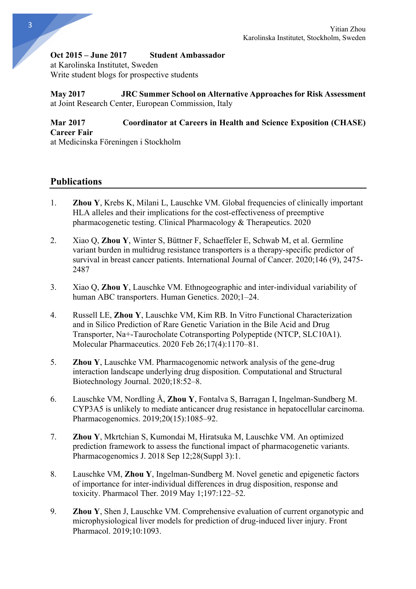# **Oct 2015 – June 2017 Student Ambassador**

at Karolinska Institutet, Sweden Write student blogs for prospective students

**May 2017 JRC Summer School on Alternative Approaches for Risk Assessment**  at Joint Research Center, European Commission, Italy

# **Mar 2017 Coordinator at Careers in Health and Science Exposition (CHASE) Career Fair**

at Medicinska Föreningen i Stockholm

# **Publications**

- 1. **Zhou Y**, Krebs K, Milani L, Lauschke VM. Global frequencies of clinically important HLA alleles and their implications for the cost-effectiveness of preemptive pharmacogenetic testing. Clinical Pharmacology & Therapeutics. 2020
- 2. Xiao Q, **Zhou Y**, Winter S, Büttner F, Schaeffeler E, Schwab M, et al. Germline variant burden in multidrug resistance transporters is a therapy‐specific predictor of survival in breast cancer patients. International Journal of Cancer. 2020;146 (9), 2475- 2487
- 3. Xiao Q, **Zhou Y**, Lauschke VM. Ethnogeographic and inter-individual variability of human ABC transporters. Human Genetics. 2020;1–24.
- 4. Russell LE, **Zhou Y**, Lauschke VM, Kim RB. In Vitro Functional Characterization and in Silico Prediction of Rare Genetic Variation in the Bile Acid and Drug Transporter, Na+-Taurocholate Cotransporting Polypeptide (NTCP, SLC10A1). Molecular Pharmaceutics. 2020 Feb 26;17(4):1170–81.
- 5. **Zhou Y**, Lauschke VM. Pharmacogenomic network analysis of the gene-drug interaction landscape underlying drug disposition. Computational and Structural Biotechnology Journal. 2020;18:52–8.
- 6. Lauschke VM, Nordling Å, **Zhou Y**, Fontalva S, Barragan I, Ingelman-Sundberg M. CYP3A5 is unlikely to mediate anticancer drug resistance in hepatocellular carcinoma. Pharmacogenomics. 2019;20(15):1085–92.
- 7. **Zhou Y**, Mkrtchian S, Kumondai M, Hiratsuka M, Lauschke VM. An optimized prediction framework to assess the functional impact of pharmacogenetic variants. Pharmacogenomics J. 2018 Sep 12;28(Suppl 3):1.
- 8. Lauschke VM, **Zhou Y**, Ingelman-Sundberg M. Novel genetic and epigenetic factors of importance for inter-individual differences in drug disposition, response and toxicity. Pharmacol Ther. 2019 May 1;197:122–52.
- 9. **Zhou Y**, Shen J, Lauschke VM. Comprehensive evaluation of current organotypic and microphysiological liver models for prediction of drug-induced liver injury. Front Pharmacol. 2019;10:1093.